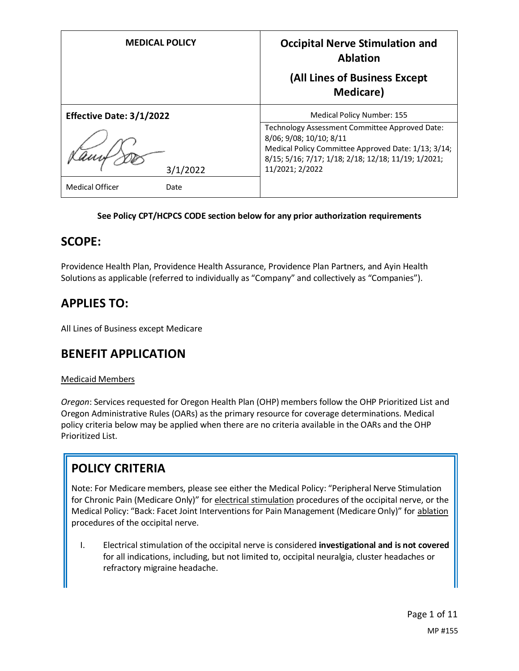| <b>MEDICAL POLICY</b>           | <b>Occipital Nerve Stimulation and</b><br><b>Ablation</b>                                                                                                                                                  |
|---------------------------------|------------------------------------------------------------------------------------------------------------------------------------------------------------------------------------------------------------|
|                                 | (All Lines of Business Except<br><b>Medicare</b> )                                                                                                                                                         |
| <b>Effective Date: 3/1/2022</b> | Medical Policy Number: 155                                                                                                                                                                                 |
| 3/1/2022                        | Technology Assessment Committee Approved Date:<br>8/06; 9/08; 10/10; 8/11<br>Medical Policy Committee Approved Date: 1/13; 3/14;<br>8/15; 5/16; 7/17; 1/18; 2/18; 12/18; 11/19; 1/2021;<br>11/2021; 2/2022 |
| <b>Medical Officer</b><br>Date  |                                                                                                                                                                                                            |

### **See Policy CPT/HCPCS CODE section below for any prior authorization requirements**

### **SCOPE:**

Providence Health Plan, Providence Health Assurance, Providence Plan Partners, and Ayin Health Solutions as applicable (referred to individually as "Company" and collectively as "Companies").

# **APPLIES TO:**

All Lines of Business except Medicare

# **BENEFIT APPLICATION**

### Medicaid Members

*Oregon*: Services requested for Oregon Health Plan (OHP) members follow the OHP Prioritized List and Oregon Administrative Rules (OARs) as the primary resource for coverage determinations. Medical policy criteria below may be applied when there are no criteria available in the OARs and the OHP Prioritized List.

# **POLICY CRITERIA**

Note: For Medicare members, please see either the Medical Policy: "Peripheral Nerve Stimulation for Chronic Pain (Medicare Only)" for electrical stimulation procedures of the occipital nerve, or the Medical Policy: "Back: Facet Joint Interventions for Pain Management (Medicare Only)" for ablation procedures of the occipital nerve.

I. Electrical stimulation of the occipital nerve is considered **investigational and is not covered** for all indications, including, but not limited to, occipital neuralgia, cluster headaches or refractory migraine headache.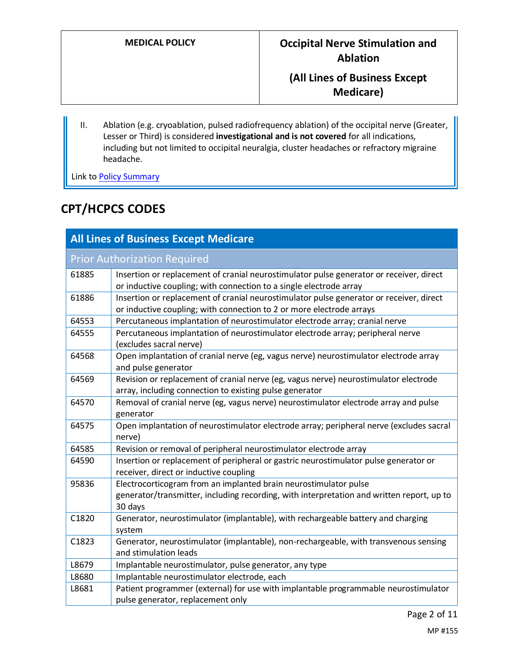II. Ablation (e.g. cryoablation, pulsed radiofrequency ablation) of the occipital nerve (Greater, Lesser or Third) is considered **investigational and is not covered** for all indications, including but not limited to occipital neuralgia, cluster headaches or refractory migraine headache.

Link to Policy Summary

# **CPT/HCPCS CODES**

| <b>All Lines of Business Except Medicare</b> |                                                                                                                                                                          |  |
|----------------------------------------------|--------------------------------------------------------------------------------------------------------------------------------------------------------------------------|--|
| <b>Prior Authorization Required</b>          |                                                                                                                                                                          |  |
| 61885                                        | Insertion or replacement of cranial neurostimulator pulse generator or receiver, direct<br>or inductive coupling; with connection to a single electrode array            |  |
| 61886                                        | Insertion or replacement of cranial neurostimulator pulse generator or receiver, direct<br>or inductive coupling; with connection to 2 or more electrode arrays          |  |
| 64553                                        | Percutaneous implantation of neurostimulator electrode array; cranial nerve                                                                                              |  |
| 64555                                        | Percutaneous implantation of neurostimulator electrode array; peripheral nerve<br>(excludes sacral nerve)                                                                |  |
| 64568                                        | Open implantation of cranial nerve (eg, vagus nerve) neurostimulator electrode array<br>and pulse generator                                                              |  |
| 64569                                        | Revision or replacement of cranial nerve (eg, vagus nerve) neurostimulator electrode<br>array, including connection to existing pulse generator                          |  |
| 64570                                        | Removal of cranial nerve (eg, vagus nerve) neurostimulator electrode array and pulse<br>generator                                                                        |  |
| 64575                                        | Open implantation of neurostimulator electrode array; peripheral nerve (excludes sacral<br>nerve)                                                                        |  |
| 64585                                        | Revision or removal of peripheral neurostimulator electrode array                                                                                                        |  |
| 64590                                        | Insertion or replacement of peripheral or gastric neurostimulator pulse generator or<br>receiver, direct or inductive coupling                                           |  |
| 95836                                        | Electrocorticogram from an implanted brain neurostimulator pulse<br>generator/transmitter, including recording, with interpretation and written report, up to<br>30 days |  |
| C1820                                        | Generator, neurostimulator (implantable), with rechargeable battery and charging<br>system                                                                               |  |
| C1823                                        | Generator, neurostimulator (implantable), non-rechargeable, with transvenous sensing<br>and stimulation leads                                                            |  |
| L8679                                        | Implantable neurostimulator, pulse generator, any type                                                                                                                   |  |
| L8680                                        | Implantable neurostimulator electrode, each                                                                                                                              |  |
| L8681                                        | Patient programmer (external) for use with implantable programmable neurostimulator<br>pulse generator, replacement only                                                 |  |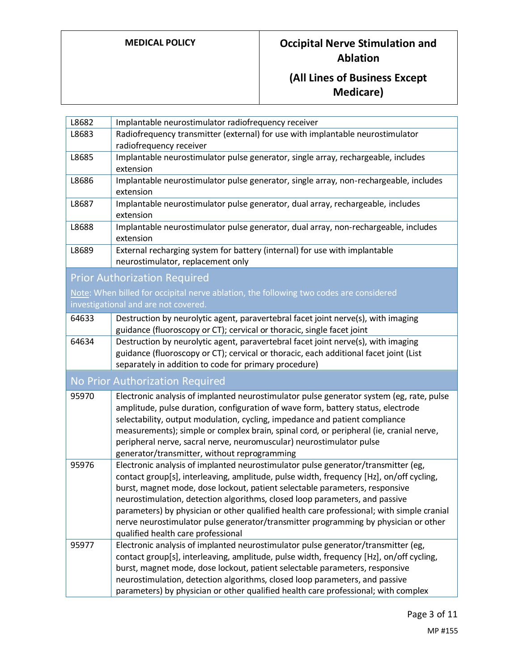| L8682                                                                                                                          | Implantable neurostimulator radiofrequency receiver                                                                                                                                                                                                                                                                                                                                                                                                                                                                                                                  |  |
|--------------------------------------------------------------------------------------------------------------------------------|----------------------------------------------------------------------------------------------------------------------------------------------------------------------------------------------------------------------------------------------------------------------------------------------------------------------------------------------------------------------------------------------------------------------------------------------------------------------------------------------------------------------------------------------------------------------|--|
| L8683                                                                                                                          | Radiofrequency transmitter (external) for use with implantable neurostimulator                                                                                                                                                                                                                                                                                                                                                                                                                                                                                       |  |
|                                                                                                                                | radiofrequency receiver                                                                                                                                                                                                                                                                                                                                                                                                                                                                                                                                              |  |
| L8685                                                                                                                          | Implantable neurostimulator pulse generator, single array, rechargeable, includes<br>extension                                                                                                                                                                                                                                                                                                                                                                                                                                                                       |  |
| L8686                                                                                                                          | Implantable neurostimulator pulse generator, single array, non-rechargeable, includes<br>extension                                                                                                                                                                                                                                                                                                                                                                                                                                                                   |  |
| L8687                                                                                                                          | Implantable neurostimulator pulse generator, dual array, rechargeable, includes<br>extension                                                                                                                                                                                                                                                                                                                                                                                                                                                                         |  |
| L8688                                                                                                                          | Implantable neurostimulator pulse generator, dual array, non-rechargeable, includes<br>extension                                                                                                                                                                                                                                                                                                                                                                                                                                                                     |  |
| L8689                                                                                                                          | External recharging system for battery (internal) for use with implantable<br>neurostimulator, replacement only                                                                                                                                                                                                                                                                                                                                                                                                                                                      |  |
| <b>Prior Authorization Required</b>                                                                                            |                                                                                                                                                                                                                                                                                                                                                                                                                                                                                                                                                                      |  |
| Note: When billed for occipital nerve ablation, the following two codes are considered<br>investigational and are not covered. |                                                                                                                                                                                                                                                                                                                                                                                                                                                                                                                                                                      |  |
| 64633                                                                                                                          | Destruction by neurolytic agent, paravertebral facet joint nerve(s), with imaging<br>guidance (fluoroscopy or CT); cervical or thoracic, single facet joint                                                                                                                                                                                                                                                                                                                                                                                                          |  |
| 64634                                                                                                                          | Destruction by neurolytic agent, paravertebral facet joint nerve(s), with imaging<br>guidance (fluoroscopy or CT); cervical or thoracic, each additional facet joint (List<br>separately in addition to code for primary procedure)                                                                                                                                                                                                                                                                                                                                  |  |
| No Prior Authorization Required                                                                                                |                                                                                                                                                                                                                                                                                                                                                                                                                                                                                                                                                                      |  |
| 95970                                                                                                                          | Electronic analysis of implanted neurostimulator pulse generator system (eg, rate, pulse<br>amplitude, pulse duration, configuration of wave form, battery status, electrode<br>selectability, output modulation, cycling, impedance and patient compliance<br>measurements); simple or complex brain, spinal cord, or peripheral (ie, cranial nerve,<br>peripheral nerve, sacral nerve, neuromuscular) neurostimulator pulse<br>generator/transmitter, without reprogramming                                                                                        |  |
| 95976                                                                                                                          | Electronic analysis of implanted neurostimulator pulse generator/transmitter (eg,<br>contact group[s], interleaving, amplitude, pulse width, frequency [Hz], on/off cycling,<br>burst, magnet mode, dose lockout, patient selectable parameters, responsive<br>neurostimulation, detection algorithms, closed loop parameters, and passive<br>parameters) by physician or other qualified health care professional; with simple cranial<br>nerve neurostimulator pulse generator/transmitter programming by physician or other<br>qualified health care professional |  |
| 95977                                                                                                                          | Electronic analysis of implanted neurostimulator pulse generator/transmitter (eg,<br>contact group[s], interleaving, amplitude, pulse width, frequency [Hz], on/off cycling,<br>burst, magnet mode, dose lockout, patient selectable parameters, responsive<br>neurostimulation, detection algorithms, closed loop parameters, and passive<br>parameters) by physician or other qualified health care professional; with complex                                                                                                                                     |  |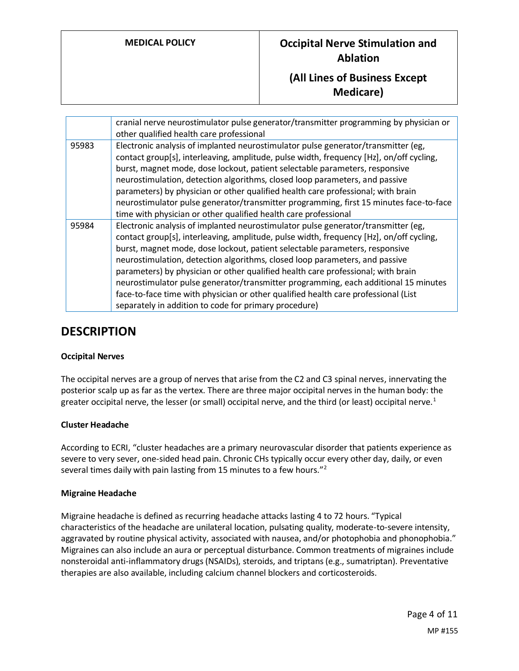|       | cranial nerve neurostimulator pulse generator/transmitter programming by physician or<br>other qualified health care professional                                                                                                                                                                                                                                                                                                                                                                                                                                                                                                                                    |
|-------|----------------------------------------------------------------------------------------------------------------------------------------------------------------------------------------------------------------------------------------------------------------------------------------------------------------------------------------------------------------------------------------------------------------------------------------------------------------------------------------------------------------------------------------------------------------------------------------------------------------------------------------------------------------------|
| 95983 | Electronic analysis of implanted neurostimulator pulse generator/transmitter (eg,<br>contact group[s], interleaving, amplitude, pulse width, frequency [Hz], on/off cycling,<br>burst, magnet mode, dose lockout, patient selectable parameters, responsive<br>neurostimulation, detection algorithms, closed loop parameters, and passive<br>parameters) by physician or other qualified health care professional; with brain<br>neurostimulator pulse generator/transmitter programming, first 15 minutes face-to-face<br>time with physician or other qualified health care professional                                                                          |
| 95984 | Electronic analysis of implanted neurostimulator pulse generator/transmitter (eg,<br>contact group[s], interleaving, amplitude, pulse width, frequency [Hz], on/off cycling,<br>burst, magnet mode, dose lockout, patient selectable parameters, responsive<br>neurostimulation, detection algorithms, closed loop parameters, and passive<br>parameters) by physician or other qualified health care professional; with brain<br>neurostimulator pulse generator/transmitter programming, each additional 15 minutes<br>face-to-face time with physician or other qualified health care professional (List<br>separately in addition to code for primary procedure) |

### **DESCRIPTION**

#### **Occipital Nerves**

The occipital nerves are a group of nerves that arise from the C2 and C3 spinal nerves, innervating the posterior scalp up as far as the vertex. There are three major occipital nerves in the human body: the greater occipital nerve, the lesser (or small) occipital nerve, and the third (or least) occipital nerve.<sup>1</sup>

#### **Cluster Headache**

According to ECRI, "cluster headaches are a primary neurovascular disorder that patients experience as severe to very sever, one-sided head pain. Chronic CHs typically occur every other day, daily, or even several times daily with pain lasting from 15 minutes to a few hours."<sup>2</sup>

#### **Migraine Headache**

Migraine headache is defined as recurring headache attacks lasting 4 to 72 hours. "Typical characteristics of the headache are unilateral location, pulsating quality, moderate-to-severe intensity, aggravated by routine physical activity, associated with nausea, and/or photophobia and phonophobia." Migraines can also include an aura or perceptual disturbance. Common treatments of migraines include nonsteroidal anti-inflammatory drugs (NSAIDs), steroids, and triptans (e.g., sumatriptan). Preventative therapies are also available, including calcium channel blockers and corticosteroids.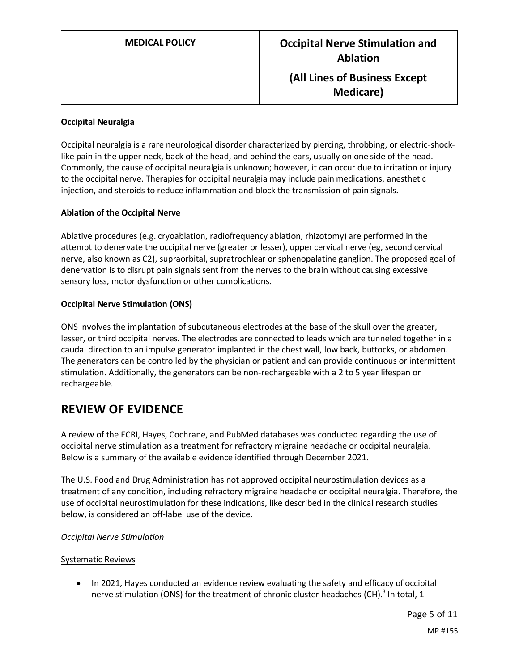#### **Occipital Neuralgia**

Occipital neuralgia is a rare neurological disorder characterized by piercing, throbbing, or electric-shocklike pain in the upper neck, back of the head, and behind the ears, usually on one side of the head. Commonly, the cause of occipital neuralgia is unknown; however, it can occur due to irritation or injury to the occipital nerve. Therapies for occipital neuralgia may include pain medications, anesthetic injection, and steroids to reduce inflammation and block the transmission of pain signals.

#### **Ablation of the Occipital Nerve**

Ablative procedures (e.g. cryoablation, radiofrequency ablation, rhizotomy) are performed in the attempt to denervate the occipital nerve (greater or lesser), upper cervical nerve (eg, second cervical nerve, also known as C2), supraorbital, supratrochlear or sphenopalatine ganglion. The proposed goal of denervation is to disrupt pain signals sent from the nerves to the brain without causing excessive sensory loss, motor dysfunction or other complications.

### **Occipital Nerve Stimulation (ONS)**

ONS involves the implantation of subcutaneous electrodes at the base of the skull over the greater, lesser, or third occipital nerves. The electrodes are connected to leads which are tunneled together in a caudal direction to an impulse generator implanted in the chest wall, low back, buttocks, or abdomen. The generators can be controlled by the physician or patient and can provide continuous or intermittent stimulation. Additionally, the generators can be non-rechargeable with a 2 to 5 year lifespan or rechargeable.

### **REVIEW OF EVIDENCE**

A review of the ECRI, Hayes, Cochrane, and PubMed databases was conducted regarding the use of occipital nerve stimulation as a treatment for refractory migraine headache or occipital neuralgia. Below is a summary of the available evidence identified through December 2021.

The U.S. Food and Drug Administration has not approved occipital neurostimulation devices as a treatment of any condition, including refractory migraine headache or occipital neuralgia. Therefore, the use of occipital neurostimulation for these indications, like described in the clinical research studies below, is considered an off-label use of the device.

#### *Occipital Nerve Stimulation*

#### Systematic Reviews

• In 2021, Hayes conducted an evidence review evaluating the safety and efficacy of occipital nerve stimulation (ONS) for the treatment of chronic cluster headaches (CH).<sup>3</sup> In total, 1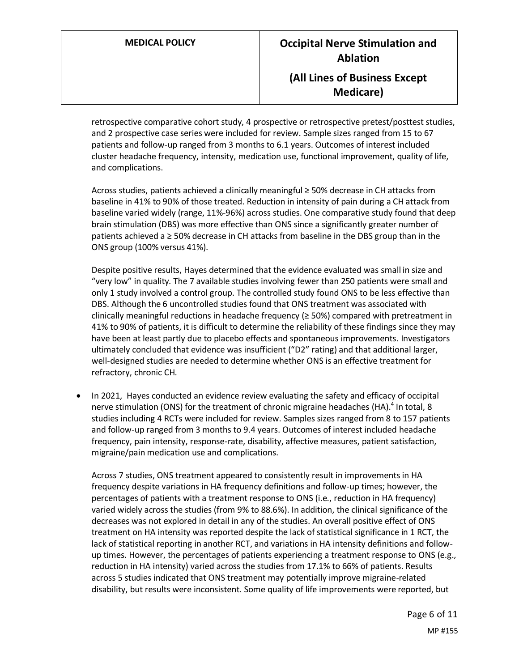retrospective comparative cohort study, 4 prospective or retrospective pretest/posttest studies, and 2 prospective case series were included for review. Sample sizes ranged from 15 to 67 patients and follow-up ranged from 3 months to 6.1 years. Outcomes of interest included cluster headache frequency, intensity, medication use, functional improvement, quality of life, and complications.

Across studies, patients achieved a clinically meaningful ≥ 50% decrease in CH attacks from baseline in 41% to 90% of those treated. Reduction in intensity of pain during a CH attack from baseline varied widely (range, 11%-96%) across studies. One comparative study found that deep brain stimulation (DBS) was more effective than ONS since a significantly greater number of patients achieved a ≥ 50% decrease in CH attacks from baseline in the DBS group than in the ONS group (100% versus 41%).

Despite positive results, Hayes determined that the evidence evaluated was small in size and "very low" in quality. The 7 available studies involving fewer than 250 patients were small and only 1 study involved a control group. The controlled study found ONS to be less effective than DBS. Although the 6 uncontrolled studies found that ONS treatment was associated with clinically meaningful reductions in headache frequency (≥ 50%) compared with pretreatment in 41% to 90% of patients, it is difficult to determine the reliability of these findings since they may have been at least partly due to placebo effects and spontaneous improvements. Investigators ultimately concluded that evidence was insufficient ("D2" rating) and that additional larger, well-designed studies are needed to determine whether ONS is an effective treatment for refractory, chronic CH.

• In 2021, Hayes conducted an evidence review evaluating the safety and efficacy of occipital nerve stimulation (ONS) for the treatment of chronic migraine headaches (HA).<sup>4</sup> In total, 8 studies including 4 RCTs were included for review. Samples sizes ranged from 8 to 157 patients and follow-up ranged from 3 months to 9.4 years. Outcomes of interest included headache frequency, pain intensity, response-rate, disability, affective measures, patient satisfaction, migraine/pain medication use and complications.

Across 7 studies, ONS treatment appeared to consistently result in improvements in HA frequency despite variations in HA frequency definitions and follow-up times; however, the percentages of patients with a treatment response to ONS (i.e., reduction in HA frequency) varied widely across the studies (from 9% to 88.6%). In addition, the clinical significance of the decreases was not explored in detail in any of the studies. An overall positive effect of ONS treatment on HA intensity was reported despite the lack of statistical significance in 1 RCT, the lack of statistical reporting in another RCT, and variations in HA intensity definitions and followup times. However, the percentages of patients experiencing a treatment response to ONS (e.g., reduction in HA intensity) varied across the studies from 17.1% to 66% of patients. Results across 5 studies indicated that ONS treatment may potentially improve migraine-related disability, but results were inconsistent. Some quality of life improvements were reported, but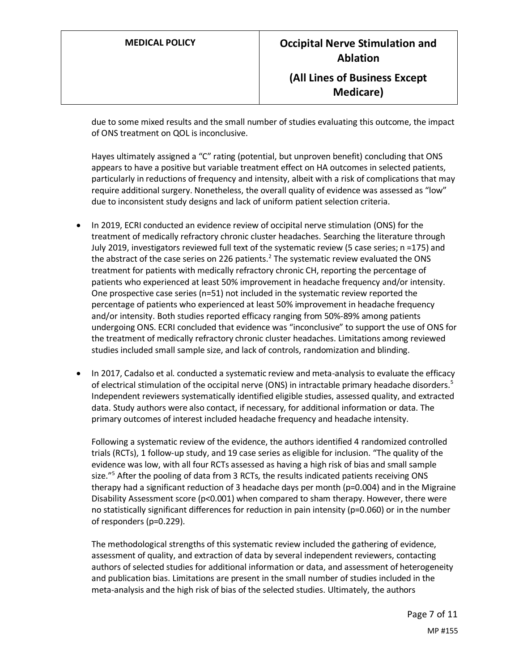due to some mixed results and the small number of studies evaluating this outcome, the impact of ONS treatment on QOL is inconclusive.

Hayes ultimately assigned a "C" rating (potential, but unproven benefit) concluding that ONS appears to have a positive but variable treatment effect on HA outcomes in selected patients, particularly in reductions of frequency and intensity, albeit with a risk of complications that may require additional surgery. Nonetheless, the overall quality of evidence was assessed as "low" due to inconsistent study designs and lack of uniform patient selection criteria.

- In 2019, ECRI conducted an evidence review of occipital nerve stimulation (ONS) for the treatment of medically refractory chronic cluster headaches. Searching the literature through July 2019, investigators reviewed full text of the systematic review (5 case series; n =175) and the abstract of the case series on 226 patients.<sup>2</sup> The systematic review evaluated the ONS treatment for patients with medically refractory chronic CH, reporting the percentage of patients who experienced at least 50% improvement in headache frequency and/or intensity. One prospective case series (n=51) not included in the systematic review reported the percentage of patients who experienced at least 50% improvement in headache frequency and/or intensity. Both studies reported efficacy ranging from 50%-89% among patients undergoing ONS. ECRI concluded that evidence was "inconclusive" to support the use of ONS for the treatment of medically refractory chronic cluster headaches. Limitations among reviewed studies included small sample size, and lack of controls, randomization and blinding.
- In 2017, Cadalso et al. conducted a systematic review and meta-analysis to evaluate the efficacy of electrical stimulation of the occipital nerve (ONS) in intractable primary headache disorders.<sup>5</sup> Independent reviewers systematically identified eligible studies, assessed quality, and extracted data. Study authors were also contact, if necessary, for additional information or data. The primary outcomes of interest included headache frequency and headache intensity.

Following a systematic review of the evidence, the authors identified 4 randomized controlled trials (RCTs), 1 follow-up study, and 19 case series as eligible for inclusion. "The quality of the evidence was low, with all four RCTs assessed as having a high risk of bias and small sample size."<sup>5</sup> After the pooling of data from 3 RCTs, the results indicated patients receiving ONS therapy had a significant reduction of 3 headache days per month ( $p=0.004$ ) and in the Migraine Disability Assessment score (p<0.001) when compared to sham therapy. However, there were no statistically significant differences for reduction in pain intensity (p=0.060) or in the number of responders (p=0.229).

The methodological strengths of this systematic review included the gathering of evidence, assessment of quality, and extraction of data by several independent reviewers, contacting authors of selected studies for additional information or data, and assessment of heterogeneity and publication bias. Limitations are present in the small number of studies included in the meta-analysis and the high risk of bias of the selected studies. Ultimately, the authors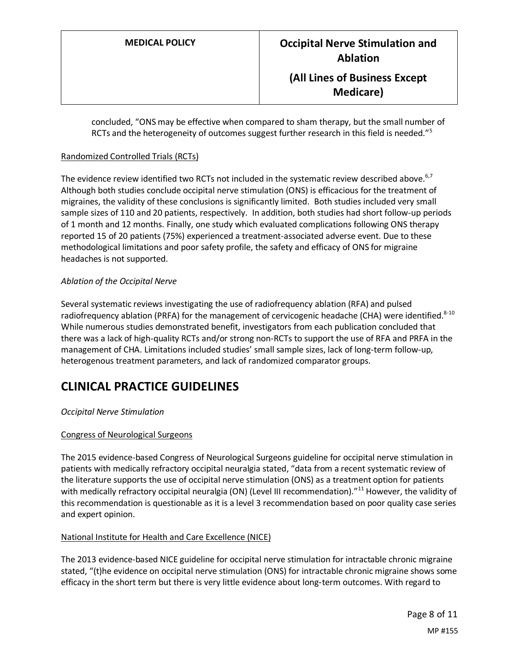concluded, "ONS may be effective when compared to sham therapy, but the small number of RCTs and the heterogeneity of outcomes suggest further research in this field is needed."<sup>5</sup>

### Randomized Controlled Trials (RCTs)

The evidence review identified two RCTs not included in the systematic review described above.<sup>6,7</sup> Although both studies conclude occipital nerve stimulation (ONS) is efficacious for the treatment of migraines, the validity of these conclusions is significantly limited. Both studies included very small sample sizes of 110 and 20 patients, respectively. In addition, both studies had short follow-up periods of 1 month and 12 months. Finally, one study which evaluated complications following ONS therapy reported 15 of 20 patients (75%) experienced a treatment-associated adverse event. Due to these methodological limitations and poor safety profile, the safety and efficacy of ONS for migraine headaches is not supported.

### *Ablation of the Occipital Nerve*

Several systematic reviews investigating the use of radiofrequency ablation (RFA) and pulsed radiofrequency ablation (PRFA) for the management of cervicogenic headache (CHA) were identified.<sup>8-10</sup> While numerous studies demonstrated benefit, investigators from each publication concluded that there was a lack of high-quality RCTs and/or strong non-RCTs to support the use of RFA and PRFA in the management of CHA. Limitations included studies' small sample sizes, lack of long-term follow-up, heterogenous treatment parameters, and lack of randomized comparator groups.

# **CLINICAL PRACTICE GUIDELINES**

### *Occipital Nerve Stimulation*

### Congress of Neurological Surgeons

The 2015 evidence-based Congress of Neurological Surgeons guideline for occipital nerve stimulation in patients with medically refractory occipital neuralgia stated, "data from a recent systematic review of the literature supports the use of occipital nerve stimulation (ONS) as a treatment option for patients with medically refractory occipital neuralgia (ON) (Level III recommendation)."<sup>11</sup> However, the validity of this recommendation is questionable as it is a level 3 recommendation based on poor quality case series and expert opinion.

#### National Institute for Health and Care Excellence (NICE)

The 2013 evidence-based NICE guideline for occipital nerve stimulation for intractable chronic migraine stated, "(t)he evidence on occipital nerve stimulation (ONS) for intractable chronic migraine shows some efficacy in the short term but there is very little evidence about long-term outcomes. With regard to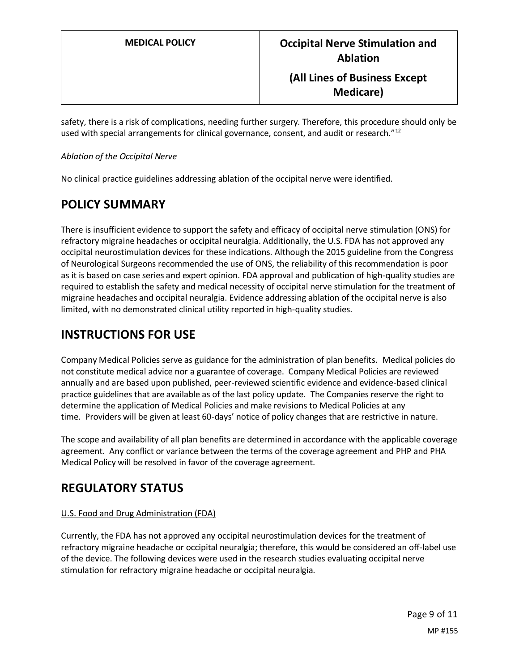safety, there is a risk of complications, needing further surgery. Therefore, this procedure should only be used with special arrangements for clinical governance, consent, and audit or research."<sup>12</sup>

### *Ablation of the Occipital Nerve*

No clinical practice guidelines addressing ablation of the occipital nerve were identified.

### **POLICY SUMMARY**

There is insufficient evidence to support the safety and efficacy of occipital nerve stimulation (ONS) for refractory migraine headaches or occipital neuralgia. Additionally, the U.S. FDA has not approved any occipital neurostimulation devices for these indications. Although the 2015 guideline from the Congress of Neurological Surgeons recommended the use of ONS, the reliability of this recommendation is poor as it is based on case series and expert opinion. FDA approval and publication of high-quality studies are required to establish the safety and medical necessity of occipital nerve stimulation for the treatment of migraine headaches and occipital neuralgia. Evidence addressing ablation of the occipital nerve is also limited, with no demonstrated clinical utility reported in high-quality studies.

### **INSTRUCTIONS FOR USE**

Company Medical Policies serve as guidance for the administration of plan benefits. Medical policies do not constitute medical advice nor a guarantee of coverage. Company Medical Policies are reviewed annually and are based upon published, peer-reviewed scientific evidence and evidence-based clinical practice guidelines that are available as of the last policy update. The Companies reserve the right to determine the application of Medical Policies and make revisions to Medical Policies at any time. Providers will be given at least 60-days' notice of policy changes that are restrictive in nature.

The scope and availability of all plan benefits are determined in accordance with the applicable coverage agreement. Any conflict or variance between the terms of the coverage agreement and PHP and PHA Medical Policy will be resolved in favor of the coverage agreement.

### **REGULATORY STATUS**

### U.S. Food and Drug Administration (FDA)

Currently, the FDA has not approved any occipital neurostimulation devices for the treatment of refractory migraine headache or occipital neuralgia; therefore, this would be considered an off-label use of the device. The following devices were used in the research studies evaluating occipital nerve stimulation for refractory migraine headache or occipital neuralgia.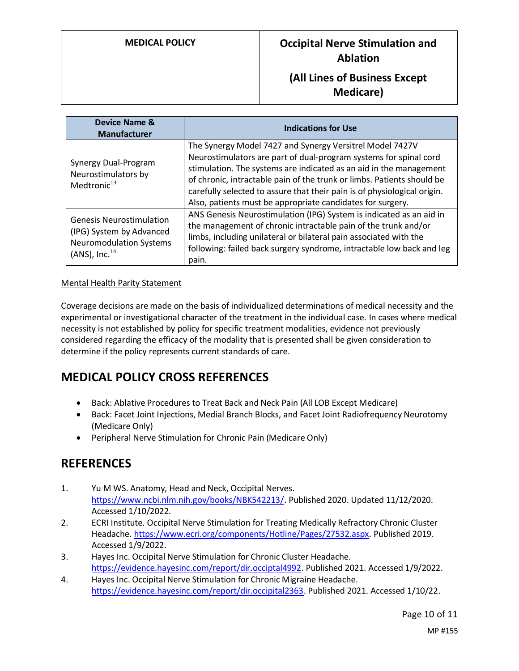# **MEDICAL POLICY Occipital Nerve Stimulation and Ablation**

### **(All Lines of Business Except Medicare)**

| <b>Device Name &amp;</b><br><b>Manufacturer</b>                                                                      | <b>Indications for Use</b>                                                                                                                                                                                                                                                                                                                                                                                              |
|----------------------------------------------------------------------------------------------------------------------|-------------------------------------------------------------------------------------------------------------------------------------------------------------------------------------------------------------------------------------------------------------------------------------------------------------------------------------------------------------------------------------------------------------------------|
| Synergy Dual-Program<br>Neurostimulators by<br>Medtronic <sup>13</sup>                                               | The Synergy Model 7427 and Synergy Versitrel Model 7427V<br>Neurostimulators are part of dual-program systems for spinal cord<br>stimulation. The systems are indicated as an aid in the management<br>of chronic, intractable pain of the trunk or limbs. Patients should be<br>carefully selected to assure that their pain is of physiological origin.<br>Also, patients must be appropriate candidates for surgery. |
| <b>Genesis Neurostimulation</b><br>(IPG) System by Advanced<br><b>Neuromodulation Systems</b><br>$(ANS)$ , Inc. $14$ | ANS Genesis Neurostimulation (IPG) System is indicated as an aid in<br>the management of chronic intractable pain of the trunk and/or<br>limbs, including unilateral or bilateral pain associated with the<br>following: failed back surgery syndrome, intractable low back and leg<br>pain.                                                                                                                            |

### Mental Health Parity Statement

Coverage decisions are made on the basis of individualized determinations of medical necessity and the experimental or investigational character of the treatment in the individual case. In cases where medical necessity is not established by policy for specific treatment modalities, evidence not previously considered regarding the efficacy of the modality that is presented shall be given consideration to determine if the policy represents current standards of care.

# **MEDICAL POLICY CROSS REFERENCES**

- Back: Ablative Procedures to Treat Back and Neck Pain (All LOB Except Medicare)
- Back: Facet Joint Injections, Medial Branch Blocks, and Facet Joint Radiofrequency Neurotomy (Medicare Only)
- Peripheral Nerve Stimulation for Chronic Pain (Medicare Only)

### **REFERENCES**

- 1. Yu M WS. Anatomy, Head and Neck, Occipital Nerves. [https://www.ncbi.nlm.nih.gov/books/NBK542213/.](https://www.ncbi.nlm.nih.gov/books/NBK542213/) Published 2020. Updated 11/12/2020. Accessed 1/10/2022.
- 2. ECRI Institute. Occipital Nerve Stimulation for Treating Medically Refractory Chronic Cluster Headache. [https://www.ecri.org/components/Hotline/Pages/27532.aspx.](https://www.ecri.org/components/Hotline/Pages/27532.aspx) Published 2019. Accessed 1/9/2022.
- 3. Hayes Inc. Occipital Nerve Stimulation for Chronic Cluster Headache. [https://evidence.hayesinc.com/report/dir.occiptal4992.](https://evidence.hayesinc.com/report/dir.occiptal4992) Published 2021. Accessed 1/9/2022.
- 4. Hayes Inc. Occipital Nerve Stimulation for Chronic Migraine Headache. [https://evidence.hayesinc.com/report/dir.occipital2363.](https://evidence.hayesinc.com/report/dir.occipital2363) Published 2021. Accessed 1/10/22.